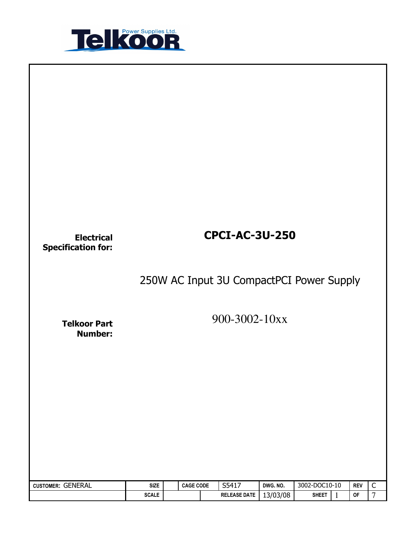

| <b>Electrical</b><br><b>Specification for:</b> |                             |                  | <b>CPCI-AC-3U-250</b>        |                      |                                               |                  |                               |
|------------------------------------------------|-----------------------------|------------------|------------------------------|----------------------|-----------------------------------------------|------------------|-------------------------------|
|                                                |                             |                  |                              |                      | 250W AC Input 3U CompactPCI Power Supply      |                  |                               |
| <b>Telkoor Part</b><br><b>Number:</b>          |                             |                  | 900-3002-10xx                |                      |                                               |                  |                               |
|                                                |                             |                  |                              |                      |                                               |                  |                               |
|                                                |                             |                  |                              |                      |                                               |                  |                               |
|                                                |                             |                  |                              |                      |                                               |                  |                               |
| CUSTOMER: GENERAL                              | <b>SIZE</b><br><b>SCALE</b> | <b>CAGE CODE</b> | S5417<br><b>RELEASE DATE</b> | DWG. NO.<br>13/03/08 | 3002-DOC10-10<br><b>SHEET</b><br>$\mathbf{1}$ | <b>REV</b><br>OF | $\mathsf C$<br>$\overline{7}$ |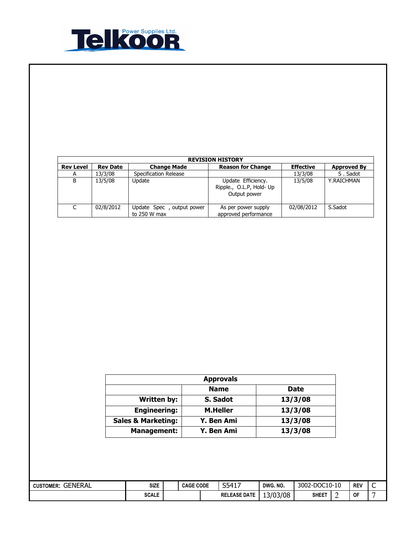

|                  | <b>REVISION HISTORY</b> |                                           |                                                                |                  |                    |  |  |  |  |  |  |  |
|------------------|-------------------------|-------------------------------------------|----------------------------------------------------------------|------------------|--------------------|--|--|--|--|--|--|--|
| <b>Rev Level</b> | <b>Rev Date</b>         | <b>Change Made</b>                        | <b>Reason for Change</b>                                       | <b>Effective</b> | <b>Approved By</b> |  |  |  |  |  |  |  |
| A                | 13/3/08                 | Specification Release                     |                                                                | 13/3/08          | S. Sadot           |  |  |  |  |  |  |  |
| В                | 13/5/08                 | Update                                    | Update Efficiency.<br>Ripple., O.L.P, Hold- Up<br>Output power | 13/5/08          | Y.RAICHMAN         |  |  |  |  |  |  |  |
| C                | 02/8/2012               | Update Spec, output power<br>to 250 W max | As per power supply<br>approved performance                    | 02/08/2012       | S.Sadot            |  |  |  |  |  |  |  |

| <b>Approvals</b>              |                 |             |  |  |  |  |
|-------------------------------|-----------------|-------------|--|--|--|--|
|                               | <b>Name</b>     | <b>Date</b> |  |  |  |  |
| <b>Written by:</b>            | S. Sadot        | 13/3/08     |  |  |  |  |
| <b>Engineering:</b>           | <b>M.Heller</b> | 13/3/08     |  |  |  |  |
| <b>Sales &amp; Marketing:</b> | Y. Ben Ami      | 13/3/08     |  |  |  |  |
| <b>Management:</b>            | Y. Ben Ami      | 13/3/08     |  |  |  |  |

| GENERAL<br><b>CUSTOMER:</b> | <b>SIZE</b>  | <b>CAGE CODE</b> | S5417<br>T.L.<br>ັບ | DWG, NO. | 3002-DOC10-10     | <b>REV</b> | ∽<br>╰ |
|-----------------------------|--------------|------------------|---------------------|----------|-------------------|------------|--------|
|                             | <b>SCALE</b> |                  | <b>RELEASE DATE</b> | 13/03/08 | SHEE <sub>1</sub> | <b>OF</b>  |        |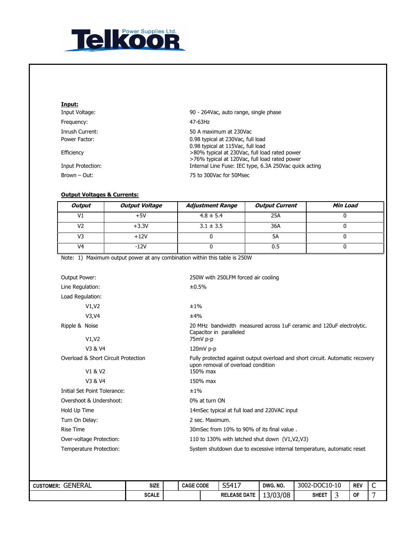

| Input:            |                                                                                                                                     |
|-------------------|-------------------------------------------------------------------------------------------------------------------------------------|
| Input Voltage:    | 90 - 264Vac, auto range, single phase                                                                                               |
| Frequency:        | 47-63Hz                                                                                                                             |
| Inrush Current:   | 50 A maximum at 230Vac                                                                                                              |
| Power Factor:     | 0.98 typical at 230Vac, full load                                                                                                   |
| Efficiency        | 0.98 typical at 115Vac, full load<br>>80% typical at 230Vac, full load rated power<br>>76% typical at 120Vac, full load rated power |
| Input Protection: | Internal Line Fuse: IEC type, 6.3A 250Vac quick acting                                                                              |
| Brown – Out:      | 75 to 300Vac for 50Msec                                                                                                             |

## Output Voltages & Currents:

| <b>Output</b>                       | <b>Output Voltage</b> | <b>Adjustment Range</b>                                                    | <b>Output Current</b>                                                         | Min Load |  |  |  |  |  |  |  |
|-------------------------------------|-----------------------|----------------------------------------------------------------------------|-------------------------------------------------------------------------------|----------|--|--|--|--|--|--|--|
| V1                                  | $+5V$                 | $4.8 \pm 5.4$                                                              | 25A                                                                           | 0        |  |  |  |  |  |  |  |
| V <sub>2</sub>                      | $+3.3V$               | $3.1 \pm 3.5$                                                              | 36A                                                                           | $\Omega$ |  |  |  |  |  |  |  |
| V3                                  | $+12V$                | 0                                                                          | $\overline{5A}$                                                               | 0        |  |  |  |  |  |  |  |
| V <sub>4</sub>                      | $-12V$                | $\Omega$                                                                   | 0.5                                                                           | 0        |  |  |  |  |  |  |  |
|                                     |                       | Note: 1) Maximum output power at any combination within this table is 250W |                                                                               |          |  |  |  |  |  |  |  |
| Output Power:                       |                       | 250W with 250LFM forced air cooling                                        |                                                                               |          |  |  |  |  |  |  |  |
| Line Regulation:                    |                       | ±0.5%                                                                      |                                                                               |          |  |  |  |  |  |  |  |
| Load Regulation:                    |                       |                                                                            |                                                                               |          |  |  |  |  |  |  |  |
| V1, V2                              |                       | ±1%                                                                        |                                                                               |          |  |  |  |  |  |  |  |
| V3, V4                              |                       | ±4%                                                                        |                                                                               |          |  |  |  |  |  |  |  |
| Ripple & Noise                      |                       | Capacitor in paralleled                                                    | 20 MHz bandwidth measured across 1uF ceramic and 120uF electrolytic.          |          |  |  |  |  |  |  |  |
| V1, V2                              |                       | 75mV p-p                                                                   |                                                                               |          |  |  |  |  |  |  |  |
| V3 & V4                             |                       | 120mV p-p                                                                  |                                                                               |          |  |  |  |  |  |  |  |
| Overload & Short Circuit Protection |                       | upon removal of overload condition                                         | Fully protected against output overload and short circuit. Automatic recovery |          |  |  |  |  |  |  |  |
| V1 & V2                             |                       | 150% max                                                                   |                                                                               |          |  |  |  |  |  |  |  |
| V3 & V4                             |                       | 150% max                                                                   |                                                                               |          |  |  |  |  |  |  |  |
| Initial Set Point Tolerance:        |                       | ±1%                                                                        |                                                                               |          |  |  |  |  |  |  |  |
| Overshoot & Undershoot:             |                       | 0% at turn ON                                                              |                                                                               |          |  |  |  |  |  |  |  |
| Hold Up Time                        |                       |                                                                            | 14mSec typical at full load and 220VAC input                                  |          |  |  |  |  |  |  |  |
| Turn On Delay:                      |                       | 2 sec. Maximum.                                                            |                                                                               |          |  |  |  |  |  |  |  |
| <b>Rise Time</b>                    |                       | 30mSec from 10% to 90% of its final value.                                 |                                                                               |          |  |  |  |  |  |  |  |
| Over-voltage Protection:            |                       |                                                                            | 110 to 130% with latched shut down (V1, V2, V3)                               |          |  |  |  |  |  |  |  |
| Temperature Protection:             |                       |                                                                            | System shutdown due to excessive internal temperature, automatic reset        |          |  |  |  |  |  |  |  |

| <b>GENERAL</b><br><b>CUSTOMER:</b> | <b>SIZE</b>  | <b>CAGE CODE</b> | S5417               | DWG, NO. | 3002-DOC10-10 | <b>REV</b> | -<br>∼ |
|------------------------------------|--------------|------------------|---------------------|----------|---------------|------------|--------|
|                                    | <b>SCALE</b> |                  | <b>RELEASE DATE</b> | 13/03/08 | <b>SHEET</b>  | <b>OF</b>  |        |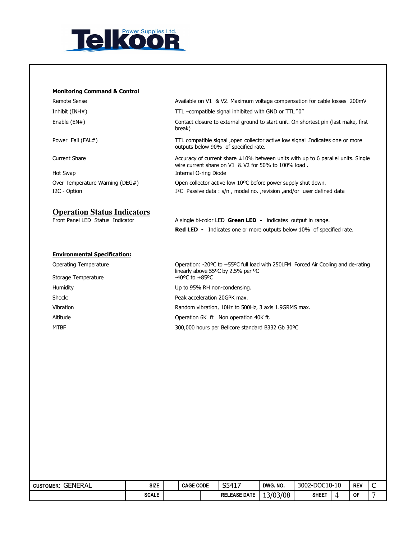

## Monitoring Command & Control

| Remote Sense                        | Available on V1 & V2. Maximum voltage compensation for cable losses 200mV                                                                     |
|-------------------------------------|-----------------------------------------------------------------------------------------------------------------------------------------------|
| Inhibit (INH#)                      | TTL -compatible signal inhibited with GND or TTL "0"                                                                                          |
| Enable $(EN#)$                      | Contact closure to external ground to start unit. On shortest pin (last make, first<br>break)                                                 |
| Power Fail (FAL#)                   | TTL compatible signal ,open collector active low signal .Indicates one or more<br>outputs below 90% of specified rate.                        |
| Current Share                       | Accuracy of current share $\pm 10\%$ between units with up to 6 parallel units. Single<br>wire current share on V1 & V2 for 50% to 100% load. |
| Hot Swap                            | Internal O-ring Diode                                                                                                                         |
| Over Temperature Warning (DEG#)     | Open collector active low 10°C before power supply shut down.                                                                                 |
| I2C - Option                        | I <sup>2</sup> C Passive data: s/n, model no., revision, and/or user defined data                                                             |
| <b>Operation Status Indicators</b>  |                                                                                                                                               |
| Front Panel LED Status Indicator    | A single bi-color LED Green LED - indicates output in range.                                                                                  |
|                                     | <b>Red LED</b> - Indicates one or more outputs below 10% of specified rate.                                                                   |
| <b>Environmental Specification:</b> |                                                                                                                                               |
| <b>Operating Temperature</b>        | Operation: -20°C to +55°C full load with 250LFM Forced Air Cooling and de-rating<br>linearly above 55°C by 2.5% per °C                        |
| Storage Temperature                 | $-40^{\circ}$ C to $+85^{\circ}$ C                                                                                                            |
| Humidity                            | Up to 95% RH non-condensing.                                                                                                                  |
| Shock:                              | Peak acceleration 20GPK max.                                                                                                                  |

Vibration Random vibration, 10Hz to 500Hz, 3 axis 1.9GRMS max.

Altitude **Altitude CONFINGLE 10** Operation 6K ft Non operation 40K ft.

MTBF 300,000 hours per Bellcore standard B332 Gb 30ºC

| <b>CUSTOMER: GENERAL</b> | <b>SIZE</b>  | <b>CAGE CODE</b> | S5417               | DWG, NO. | 3002-DOC10-10 | <b>REV</b> | ⌒<br>◡ |
|--------------------------|--------------|------------------|---------------------|----------|---------------|------------|--------|
|                          | <b>SCALE</b> |                  | <b>RELEASE DATE</b> | 13/03/08 | <b>SHEET</b>  | <b>OF</b>  |        |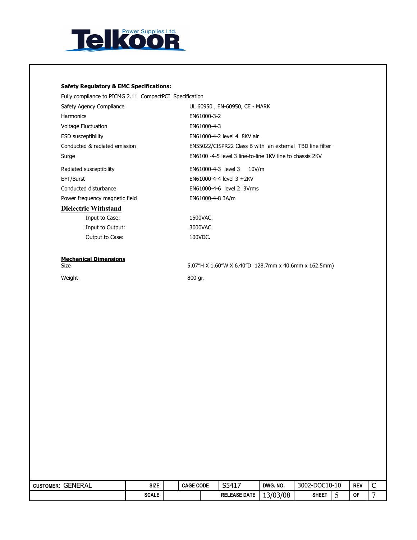

## Safety Regulatory & EMC Specifications:

| Fully compliance to PICMG 2.11 CompactPCI Specification |                                                          |
|---------------------------------------------------------|----------------------------------------------------------|
| Safety Agency Compliance                                | UL 60950, EN-60950, CE - MARK                            |
| <b>Harmonics</b>                                        | EN61000-3-2                                              |
| Voltage Fluctuation                                     | EN61000-4-3                                              |
| <b>ESD</b> susceptibility                               | EN61000-4-2 level 4 8KV air                              |
| Conducted & radiated emission                           | EN55022/CISPR22 Class B with an external TBD line filter |
| Surge                                                   | EN6100 -4-5 level 3 line-to-line 1KV line to chassis 2KV |
| Radiated susceptibility                                 | EN61000-4-3 level 3 10V/m                                |
| EFT/Burst                                               | $FN61000-4-4$ level $3 \pm 2KV$                          |
| Conducted disturbance                                   | EN61000-4-6 level 2 3Vrms                                |
| Power frequency magnetic field                          | EN61000-4-8 3A/m                                         |
| <b>Dielectric Withstand</b>                             |                                                          |
| Input to Case:                                          | 1500VAC.                                                 |
| Input to Output:                                        | 3000VAC                                                  |
| Output to Case:                                         | 100VDC.                                                  |
| <b>Mechanical Dimensions</b>                            |                                                          |
| Size                                                    | 5.07"H X 1.60"W X 6.40"D 128.7mm x 40.6mm x 162.5mm)     |

Weight 800 gr.

| GENERAL<br><b>CUSTOMER:</b> | <b>SIZE</b>  | <b>CAGE CODE</b> | S5417               | DWG. NO. | 3002-DOC10-10 |   | <b>REV</b> | ∽<br>֊ |
|-----------------------------|--------------|------------------|---------------------|----------|---------------|---|------------|--------|
|                             | <b>SCALE</b> |                  | <b>RELEASE DATE</b> | 13/03/08 | <b>SHEET</b>  | ັ | 0F         |        |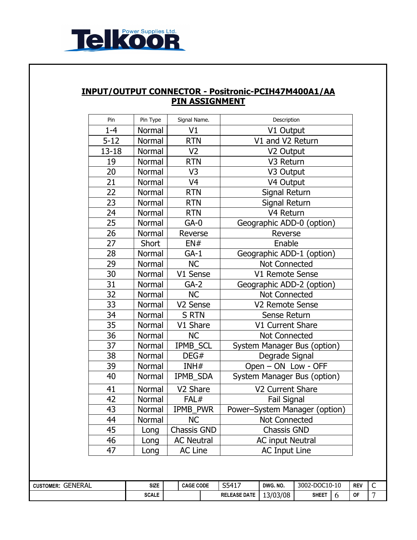

## INPUT/OUTPUT CONNECTOR - Positronic-PCIH47M400A1/AA PIN ASSIGNMENT

| Pin             | Pin Type      | Signal Name.         | Description                   |
|-----------------|---------------|----------------------|-------------------------------|
| $1 - 4$         | Normal        | V1                   | V1 Output                     |
| $5 - 12$        | Normal        | <b>RTN</b>           | V1 and V2 Return              |
| $13 - 18$       | Normal        | V <sub>2</sub>       | V2 Output                     |
| 19              | Normal        | <b>RTN</b>           | V3 Return                     |
| 20              | Normal        | V <sub>3</sub>       | V3 Output                     |
| $\overline{21}$ | Normal        | V <sub>4</sub>       | V4 Output                     |
| $\overline{22}$ | Normal        | <b>RTN</b>           | Signal Return                 |
| 23              | Normal        | <b>RTN</b>           | Signal Return                 |
| 24              | <b>Normal</b> | <b>RTN</b>           | V <sub>4</sub> Return         |
| 25              | Normal        | $GA-0$               | Geographic ADD-0 (option)     |
| 26              | Normal        | Reverse              | Reverse                       |
| 27              | Short         | EN#                  | Enable                        |
| 28              | Normal        | $GA-1$               | Geographic ADD-1 (option)     |
| 29              | Normal        | <b>NC</b>            | <b>Not Connected</b>          |
| 30              | Normal        | V1 Sense             | V1 Remote Sense               |
| 31              | Normal        | $GA-2$               | Geographic ADD-2 (option)     |
| $\overline{32}$ | Normal        | <b>NC</b>            | Not Connected                 |
| 33              | Normal        | V2 Sense             | V2 Remote Sense               |
| 34              | Normal        | <b>S RTN</b>         | Sense Return                  |
| 35              | Normal        | V1 Share             | V1 Current Share              |
| 36              | Normal        | <b>NC</b>            | <b>Not Connected</b>          |
| 37              | Normal        | <b>IPMB SCL</b>      | System Manager Bus (option)   |
| 38              | Normal        | DEG#                 | Degrade Signal                |
| 39              | Normal        | INH#                 | Open - ON Low - OFF           |
| 40              | Normal        | IPMB_SDA             | System Manager Bus (option)   |
| 41              | Normal        | V <sub>2</sub> Share | V2 Current Share              |
| 42              | Normal        | FAL#                 | <b>Fail Signal</b>            |
| 43              | Normal        | IPMB_PWR             | Power-System Manager (option) |
| 44              | Normal        | <b>NC</b>            | <b>Not Connected</b>          |
| 45              | Long          | <b>Chassis GND</b>   | <b>Chassis GND</b>            |
| 46              | Long          | <b>AC Neutral</b>    | <b>AC input Neutral</b>       |
| 47              | Long          | <b>AC Line</b>       | <b>AC Input Line</b>          |

| GENERAL<br><b>CUSTOMER:</b> | <b>SIZE</b>  | <b>CAGE CODE</b> |  | $541$ <sup>-</sup><br><u>JJ 117</u> | DWG. NO. | -DOC10-10<br>3002-l |  | <b>REV</b> | ∽ |
|-----------------------------|--------------|------------------|--|-------------------------------------|----------|---------------------|--|------------|---|
|                             | <b>SCALE</b> |                  |  | <b>RELEASE DATE</b>                 | 13/03/08 | <b>SHEET</b>        |  | OF         |   |